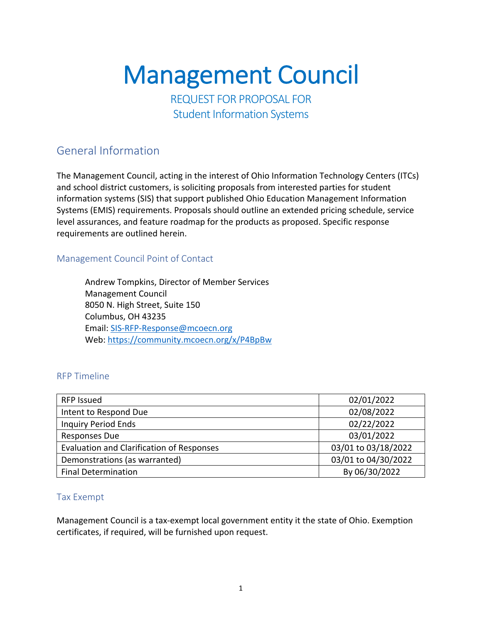# **Management Council**<br>REQUEST FOR PROPOSAL FOR

Student Information Systems

# General Information

The Management Council, acting in the interest of Ohio Information Technology Centers (ITCs) and school district customers, is soliciting proposals from interested parties for student information systems (SIS) that support published Ohio Education Management Information Systems (EMIS) requirements. Proposals should outline an extended pricing schedule, service level assurances, and feature roadmap for the products as proposed. Specific response requirements are outlined herein.

#### Management Council Point of Contact

Andrew Tompkins, Director of Member Services Management Council 8050 N. High Street, Suite 150 Columbus, OH 43235 Email: SIS-RFP-Response@mcoecn.org Web: https://community.mcoecn.org/x/P4BpBw

#### RFP Timeline

| RFP Issued                                       | 02/01/2022          |
|--------------------------------------------------|---------------------|
| Intent to Respond Due                            | 02/08/2022          |
| <b>Inquiry Period Ends</b>                       | 02/22/2022          |
| <b>Responses Due</b>                             | 03/01/2022          |
| <b>Evaluation and Clarification of Responses</b> | 03/01 to 03/18/2022 |
| Demonstrations (as warranted)                    | 03/01 to 04/30/2022 |
| <b>Final Determination</b>                       | By 06/30/2022       |

#### Tax Exempt

Management Council is a tax-exempt local government entity it the state of Ohio. Exemption certificates, if required, will be furnished upon request.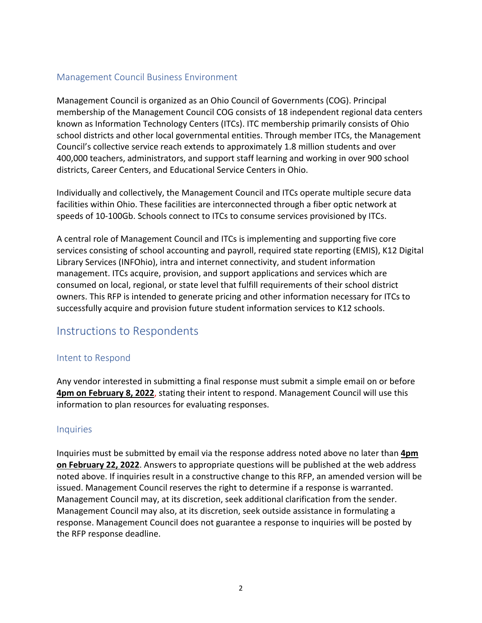#### Management Council Business Environment

Management Council is organized as an Ohio Council of Governments (COG). Principal membership of the Management Council COG consists of 18 independent regional data centers known as Information Technology Centers (ITCs). ITC membership primarily consists of Ohio school districts and other local governmental entities. Through member ITCs, the Management Council's collective service reach extends to approximately 1.8 million students and over 400,000 teachers, administrators, and support staff learning and working in over 900 school districts, Career Centers, and Educational Service Centers in Ohio.

Individually and collectively, the Management Council and ITCs operate multiple secure data facilities within Ohio. These facilities are interconnected through a fiber optic network at speeds of 10-100Gb. Schools connect to ITCs to consume services provisioned by ITCs.

A central role of Management Council and ITCs is implementing and supporting five core services consisting of school accounting and payroll, required state reporting (EMIS), K12 Digital Library Services (INFOhio), intra and internet connectivity, and student information management. ITCs acquire, provision, and support applications and services which are consumed on local, regional, or state level that fulfill requirements of their school district owners. This RFP is intended to generate pricing and other information necessary for ITCs to successfully acquire and provision future student information services to K12 schools.

# Instructions to Respondents

#### Intent to Respond

Any vendor interested in submitting a final response must submit a simple email on or before **4pm on February 8, 2022**, stating their intent to respond. Management Council will use this information to plan resources for evaluating responses.

#### **Inquiries**

Inquiries must be submitted by email via the response address noted above no later than **4pm on February 22, 2022**. Answers to appropriate questions will be published at the web address noted above. If inquiries result in a constructive change to this RFP, an amended version will be issued. Management Council reserves the right to determine if a response is warranted. Management Council may, at its discretion, seek additional clarification from the sender. Management Council may also, at its discretion, seek outside assistance in formulating a response. Management Council does not guarantee a response to inquiries will be posted by the RFP response deadline.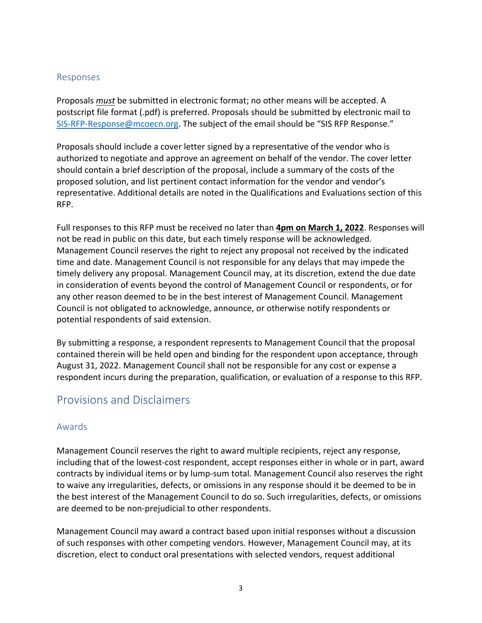#### Responses

Proposals *must* be submitted in electronic format; no other means will be accepted. A postscript file format (.pdf) is preferred. Proposals should be submitted by electronic mail to SIS-RFP-Response@mcoecn.org. The subject of the email should be "SIS RFP Response."

Proposals should include a cover letter signed by a representative of the vendor who is authorized to negotiate and approve an agreement on behalf of the vendor. The cover letter should contain a brief description of the proposal, include a summary of the costs of the proposed solution, and list pertinent contact information for the vendor and vendor's representative. Additional details are noted in the Qualifications and Evaluations section of this RFP.

Full responses to this RFP must be received no later than **4pm on March 1, 2022**. Responses will not be read in public on this date, but each timely response will be acknowledged. Management Council reserves the right to reject any proposal not received by the indicated time and date. Management Council is not responsible for any delays that may impede the timely delivery any proposal. Management Council may, at its discretion, extend the due date in consideration of events beyond the control of Management Council or respondents, or for any other reason deemed to be in the best interest of Management Council. Management Council is not obligated to acknowledge, announce, or otherwise notify respondents or potential respondents of said extension.

By submitting a response, a respondent represents to Management Council that the proposal contained therein will be held open and binding for the respondent upon acceptance, through August 31, 2022. Management Council shall not be responsible for any cost or expense a respondent incurs during the preparation, qualification, or evaluation of a response to this RFP.

# Provisions and Disclaimers

#### Awards

Management Council reserves the right to award multiple recipients, reject any response, including that of the lowest-cost respondent, accept responses either in whole or in part, award contracts by individual items or by lump-sum total. Management Council also reserves the right to waive any irregularities, defects, or omissions in any response should it be deemed to be in the best interest of the Management Council to do so. Such irregularities, defects, or omissions are deemed to be non-prejudicial to other respondents.

Management Council may award a contract based upon initial responses without a discussion of such responses with other competing vendors. However, Management Council may, at its discretion, elect to conduct oral presentations with selected vendors, request additional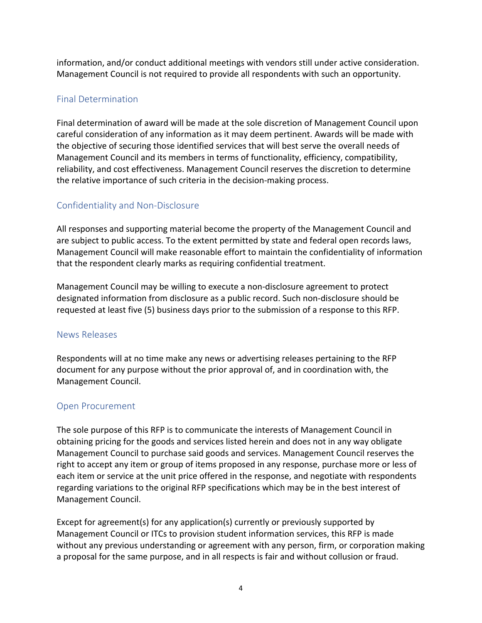information, and/or conduct additional meetings with vendors still under active consideration. Management Council is not required to provide all respondents with such an opportunity.

## Final Determination

Final determination of award will be made at the sole discretion of Management Council upon careful consideration of any information as it may deem pertinent. Awards will be made with the objective of securing those identified services that will best serve the overall needs of Management Council and its members in terms of functionality, efficiency, compatibility, reliability, and cost effectiveness. Management Council reserves the discretion to determine the relative importance of such criteria in the decision-making process.

## Confidentiality and Non-Disclosure

All responses and supporting material become the property of the Management Council and are subject to public access. To the extent permitted by state and federal open records laws, Management Council will make reasonable effort to maintain the confidentiality of information that the respondent clearly marks as requiring confidential treatment.

Management Council may be willing to execute a non-disclosure agreement to protect designated information from disclosure as a public record. Such non-disclosure should be requested at least five (5) business days prior to the submission of a response to this RFP.

## News Releases

Respondents will at no time make any news or advertising releases pertaining to the RFP document for any purpose without the prior approval of, and in coordination with, the Management Council.

## Open Procurement

The sole purpose of this RFP is to communicate the interests of Management Council in obtaining pricing for the goods and services listed herein and does not in any way obligate Management Council to purchase said goods and services. Management Council reserves the right to accept any item or group of items proposed in any response, purchase more or less of each item or service at the unit price offered in the response, and negotiate with respondents regarding variations to the original RFP specifications which may be in the best interest of Management Council.

Except for agreement(s) for any application(s) currently or previously supported by Management Council or ITCs to provision student information services, this RFP is made without any previous understanding or agreement with any person, firm, or corporation making a proposal for the same purpose, and in all respects is fair and without collusion or fraud.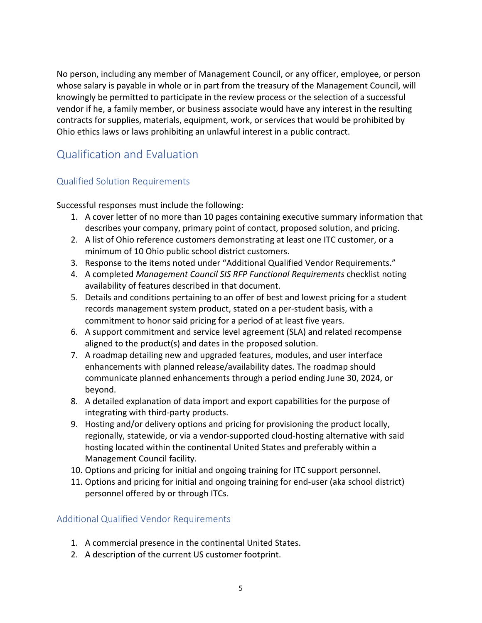No person, including any member of Management Council, or any officer, employee, or person whose salary is payable in whole or in part from the treasury of the Management Council, will knowingly be permitted to participate in the review process or the selection of a successful vendor if he, a family member, or business associate would have any interest in the resulting contracts for supplies, materials, equipment, work, or services that would be prohibited by Ohio ethics laws or laws prohibiting an unlawful interest in a public contract.

# Qualification and Evaluation

# Qualified Solution Requirements

Successful responses must include the following:

- 1. A cover letter of no more than 10 pages containing executive summary information that describes your company, primary point of contact, proposed solution, and pricing.
- 2. A list of Ohio reference customers demonstrating at least one ITC customer, or a minimum of 10 Ohio public school district customers.
- 3. Response to the items noted under "Additional Qualified Vendor Requirements."
- 4. A completed *Management Council SIS RFP Functional Requirements* checklist noting availability of features described in that document.
- 5. Details and conditions pertaining to an offer of best and lowest pricing for a student records management system product, stated on a per-student basis, with a commitment to honor said pricing for a period of at least five years.
- 6. A support commitment and service level agreement (SLA) and related recompense aligned to the product(s) and dates in the proposed solution.
- 7. A roadmap detailing new and upgraded features, modules, and user interface enhancements with planned release/availability dates. The roadmap should communicate planned enhancements through a period ending June 30, 2024, or beyond.
- 8. A detailed explanation of data import and export capabilities for the purpose of integrating with third-party products.
- 9. Hosting and/or delivery options and pricing for provisioning the product locally, regionally, statewide, or via a vendor-supported cloud-hosting alternative with said hosting located within the continental United States and preferably within a Management Council facility.
- 10. Options and pricing for initial and ongoing training for ITC support personnel.
- 11. Options and pricing for initial and ongoing training for end-user (aka school district) personnel offered by or through ITCs.

# Additional Qualified Vendor Requirements

- 1. A commercial presence in the continental United States.
- 2. A description of the current US customer footprint.